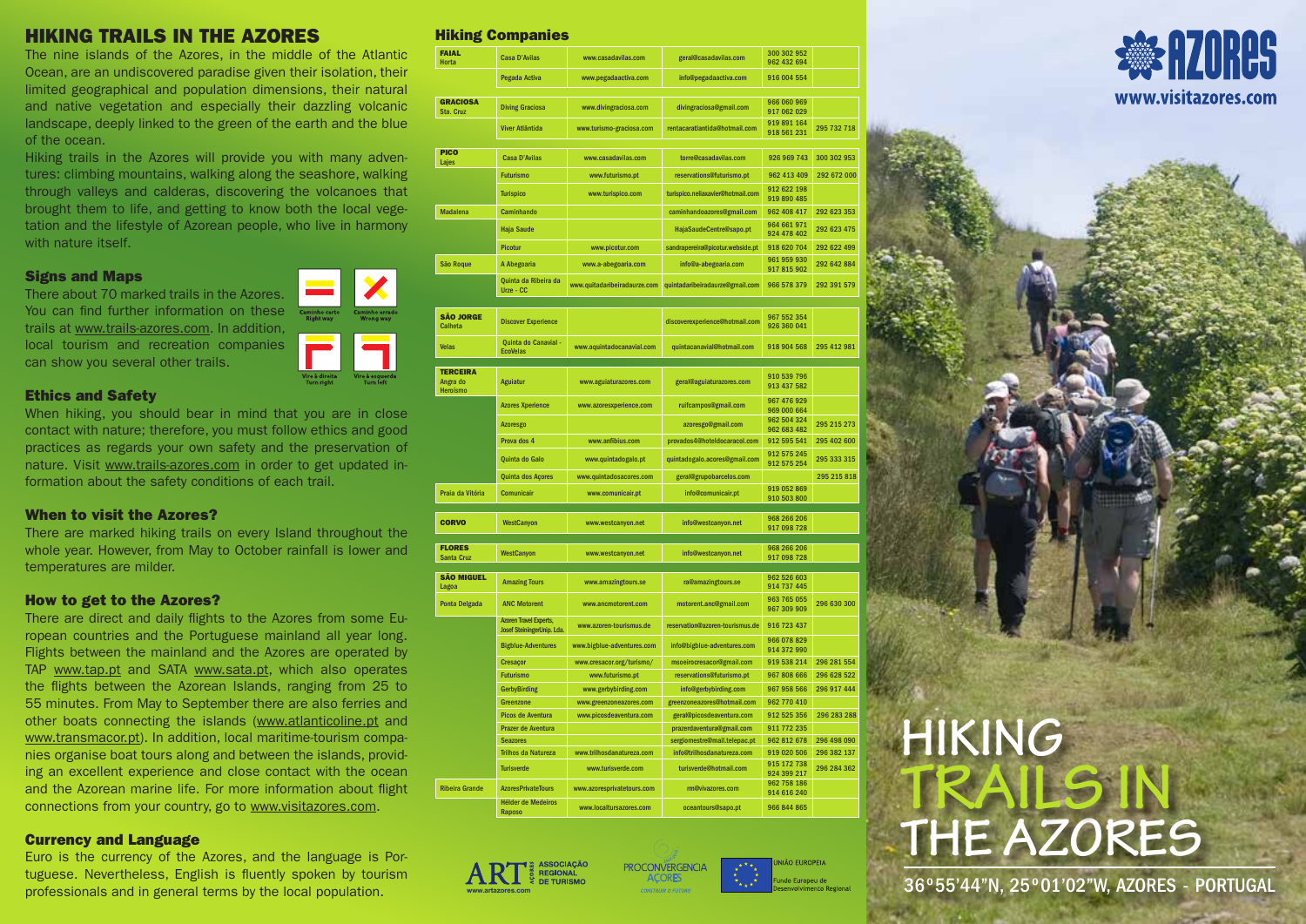### HIKING TRAILS IN THE AZORES

The nine islands of the Azores, in the middle of the Atlantic Ocean, are an undiscovered paradise given their isolation, their limited geographical and population dimensions, their natural and native vegetation and especially their dazzling volcanic landscape, deeply linked to the green of the earth and the blue of the ocean.

Hiking trails in the Azores will provide you with many adventures: climbing mountains, walking along the seashore, walking through valleys and calderas, discovering the volcanoes that brought them to life, and getting to know both the local vegetation and the lifestyle of Azorean people, who live in harmony with nature itself.

#### Signs and Maps

There about 70 marked trails in the Azores. You can find further information on these trails at www.trails-azores.com. In addition, local tourism and recreation companies can show you several other trails.



#### Ethics and Safety

When hiking, you should bear in mind that you are in close contact with nature; therefore, you must follow ethics and good practices as regards your own safety and the preservation of nature. Visit www.trails-azores.com in order to get updated information about the safety conditions of each trail.

#### When to visit the Azores?

There are marked hiking trails on every Island throughout the whole year. However, from May to October rainfall is lower and temperatures are milder.

#### How to get to the Azores?

There are direct and daily flights to the Azores from some European countries and the Portuguese mainland all year long. Flights between the mainland and the Azores are operated by TAP www.tap.pt and SATA www.sata.pt, which also operates the flights between the Azorean Islands, ranging from 25 to 55 minutes. From May to September there are also ferries and other boats connecting the islands (www.atlanticoline.pt and www.transmacor.pt). In addition, local maritime-tourism companies organise boat tours along and between the islands, providing an excellent experience and close contact with the ocean and the Azorean marine life. For more information about flight connections from your country, go to www.visitazores.com.

#### Currency and Language

Euro is the currency of the Azores, and the language is Portuguese. Nevertheless, English is fluently spoken by tourism professionals and in general terms by the local population.

#### Hiking Companies

|                                    | <b>Pourpani</b>                                             |                              |                                   |                            |             |
|------------------------------------|-------------------------------------------------------------|------------------------------|-----------------------------------|----------------------------|-------------|
| <b>FAIAL</b><br>Horta              | <b>Casa D'Avilas</b>                                        | www.casadavilas.com          | geral@casadavilas.com             | 300 302 952<br>962 432 694 |             |
|                                    | Pegada Activa                                               | www.pegadaactiva.com         | info@pegadaactiva.com             | 916 004 554                |             |
| <b>GRACIOSA</b>                    |                                                             |                              |                                   | 966 060 969                |             |
| Sta. Cruz                          | <b>Diving Graciosa</b>                                      | www.divingraciosa.com        | divingraciosa@gmail.com           | 917 062 029                |             |
|                                    | Viver Atlântida                                             | www.turismo-graciosa.com     | rentacaratlantida@hotmail.com     | 919 891 164<br>918 561 231 | 295 732 718 |
| <b>PICO</b>                        |                                                             |                              |                                   |                            |             |
| Lajes                              | <b>Casa D'Avilas</b>                                        | www.casadavilas.com          | torre@casadavilas.com             | 926 969 743                | 300 302 953 |
|                                    | <b>Futurismo</b>                                            | www.futurismo.pt             | reservations@futurismo.pt         | 962 413 409                | 292 672 000 |
|                                    | <b>Turispico</b>                                            | www.turispico.com            | turispico.neliaxavier@hotmail.com | 912 622 198<br>919 890 485 |             |
| <b>Madalena</b>                    | Caminhando                                                  |                              | caminhandoazores@gmail.com        | 962 408 417                | 292 623 353 |
|                                    | <b>Haja Saude</b>                                           |                              | HajaSaudeCentre@sapo.pt           | 964 661 971<br>924 478 402 | 292 623 475 |
|                                    | Picotur                                                     | www.picotur.com              | sandrapereira@picotur.webside.pt  | 918 620 704                | 292 622 499 |
| São Roque                          | A Abegoaria                                                 | www.a-abegoaria.com          | info@a-abegoaria.com              | 961 959 930<br>917 815 902 | 292 642 884 |
|                                    | Quinta da Ribeira da<br>$Uze - CC$                          | www.quitadaribeiradaurze.com | quintadaribeiradaurze@gmail.com   | 966 578 379                | 292 391 579 |
|                                    |                                                             |                              |                                   |                            |             |
| SÃO JORGE<br>Calheta               | <b>Discover Experience</b>                                  |                              | discoverexperience@hotmail.com    | 967 552 354<br>926 360 041 |             |
| Velas                              | Quinta do Canavial -<br><b>EcoVelas</b>                     | www.aquintadocanavial.com    | quintacanavial@hotmail.com        | 918 904 568                | 295 412 981 |
| <b>TERCEIRA</b>                    |                                                             |                              |                                   |                            |             |
| Angra do<br>Heroísmo               | <b>Aguiatur</b>                                             | www.aguiaturazores.com       | geral@aguiaturazores.com          | 910 539 796<br>913 437 582 |             |
|                                    | <b>Azores Xperience</b>                                     | www.azoresxperience.com      | ruifcampos@gmail.com              | 967 476 929<br>969 000 664 |             |
|                                    | <b>Azoresgo</b>                                             |                              | azoresgo@gmail.com                | 962 504 324<br>962 683 482 | 295 215 273 |
|                                    | Prova dos 4                                                 | www.anfibius.com             | provados4@hoteldocaracol.com      | 912 595 541                | 295 402 600 |
|                                    | Quinta do Galo                                              | www.quintadogalo.pt          | quintadogalo.acores@gmail.com     | 912 575 245<br>912 575 254 | 295 333 315 |
|                                    | Quinta dos Açores                                           | www.quintadosacores.com      | geral@grupobarcelos.com           |                            | 295 215 818 |
| Praia da Vitória                   | Comunicair                                                  | www.comunicair.pt            | info@comunicair.pt                | 919 052 869<br>910 503 800 |             |
|                                    |                                                             |                              |                                   | 968 266 206                |             |
| <b>CORVO</b>                       | <b>WestCanyon</b>                                           | www.westcanyon.net           | info@westcanyon.net               | 917 098 728                |             |
| <b>FLORES</b><br><b>Santa Cruz</b> | WestCanyon                                                  | www.westcanyon.net           | info@westcanyon.net               | 968 266 206<br>917 098 728 |             |
|                                    |                                                             |                              |                                   |                            |             |
| <b>SÃO MIGUEL</b><br>Lagoa         | <b>Amazing Tours</b>                                        | www.amazingtours.se          | ra@amazingtours.se                | 962 526 603<br>914 737 445 |             |
| <b>Ponta Delgada</b>               | <b>ANC Motorent</b>                                         | www.ancmotorent.com          | motorent.anc@gmail.com            | 963 765 055<br>967 309 909 | 296 630 300 |
|                                    | <b>Azoren Travel Experts,</b><br>Josef SteiningerUnip. Lda. | www.azoren-tourismus.de      | reservation@azoren-tourismus.de   | 916 723 437                |             |
|                                    | <b>Bigblue-Adventures</b>                                   | www.bigblue-adventures.com   | info@bigblue-adventures.com       | 966 078 829<br>914 372 990 |             |
|                                    | Cresaçor                                                    | www.cresacor.org/turismo/    | msoeirocresacor@gmail.com         | 919 538 214                | 296 281 554 |
|                                    | <b>Futurismo</b>                                            | www.futurismo.pt             | reservations@futurismo.pt         | 967 808 666                | 296 628 522 |
|                                    | <b>GerbyBirding</b>                                         | www.gerbybirding.com         | info@gerbybirding.com             | 967 958 566                | 296 917 444 |
|                                    | Greenzone                                                   | www.greenzoneazores.com      | greenzoneazores@hotmail.com       | 962 770 410                |             |
|                                    | Picos de Aventura                                           | www.picosdeaventura.com      | geral@picosdeaventura.com         | 912 525 356                | 296 283 288 |
|                                    | Prazer de Aventura                                          |                              | prazerdaventura@gmail.com         | 911 772 235                |             |
|                                    | <b>Seazores</b>                                             |                              | sergiomestre@mail.telepac.pt      | 962 812 678                | 296 498 090 |
|                                    | <b>Trilhos da Natureza</b>                                  | www.trilhosdanatureza.com    | info@trilhosdanatureza.com        | 919 020 506                | 296 382 137 |
|                                    | <b>Turisverde</b>                                           | www.turisverde.com           | turisverde@hotmail.com            | 915 172 738<br>924 399 217 | 296 284 362 |
| <b>Ribeira Grande</b>              | <b>AzoresPrivateTours</b>                                   | www.azoresprivatetours.com   | rm@vivazores.com                  | 962 758 186<br>914 616 240 |             |
|                                    | <b>Hélder de Medeiros</b><br>Raposo                         | www.localtursazores.com      | oceantours@sapo.pt                | 966 844 865                |             |





**hiking the azores trails in**

Note Europeu de **36º55'44"N, 25º01'02"W, AZORES - PORTUGAL**